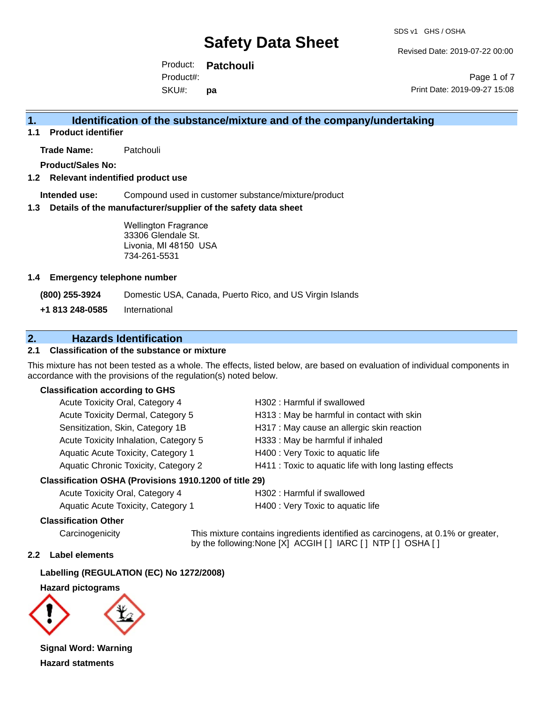SDS v1 GHS / OSHA

Revised Date: 2019-07-22 00:00

Product: **Patchouli**  SKU#: Product#: **pa**

Page 1 of 7 Print Date: 2019-09-27 15:08

## **1. Identification of the substance/mixture and of the company/undertaking**

**1.1 Product identifier**

**Trade Name:** Patchouli

**Product/Sales No:**

#### **1.2 Relevant indentified product use**

**Intended use:** Compound used in customer substance/mixture/product

#### **1.3 Details of the manufacturer/supplier of the safety data sheet**

Wellington Fragrance 33306 Glendale St. Livonia, MI 48150 USA 734-261-5531

#### **1.4 Emergency telephone number**

**(800) 255-3924** Domestic USA, Canada, Puerto Rico, and US Virgin Islands

**+1 813 248-0585** International

## **2. Hazards Identification**

### **2.1 Classification of the substance or mixture**

This mixture has not been tested as a whole. The effects, listed below, are based on evaluation of individual components in accordance with the provisions of the regulation(s) noted below.

#### **Classification according to GHS**

| Acute Toxicity Oral, Category 4       | H302: Harmful if swallowed                             |
|---------------------------------------|--------------------------------------------------------|
| Acute Toxicity Dermal, Category 5     | H313: May be harmful in contact with skin              |
| Sensitization, Skin, Category 1B      | H317 : May cause an allergic skin reaction             |
| Acute Toxicity Inhalation, Category 5 | H333: May be harmful if inhaled                        |
| Aquatic Acute Toxicity, Category 1    | H400 : Very Toxic to aquatic life                      |
| Aquatic Chronic Toxicity, Category 2  | H411 : Toxic to aquatic life with long lasting effects |
|                                       |                                                        |

#### **Classification OSHA (Provisions 1910.1200 of title 29)**

| Acute Toxicity Oral, Category 4    |  |
|------------------------------------|--|
| Aquatic Acute Toxicity. Category 1 |  |

H302 : Harmful if swallowed

H400 : Very Toxic to aquatic life

#### **Classification Other**

Carcinogenicity This mixture contains ingredients identified as carcinogens, at 0.1% or greater, by the following:None [X] ACGIH [ ] IARC [ ] NTP [ ] OSHA [ ]

### **2.2 Label elements**

#### **Labelling (REGULATION (EC) No 1272/2008)**

#### **Hazard pictograms**



**Signal Word: Warning Hazard statments**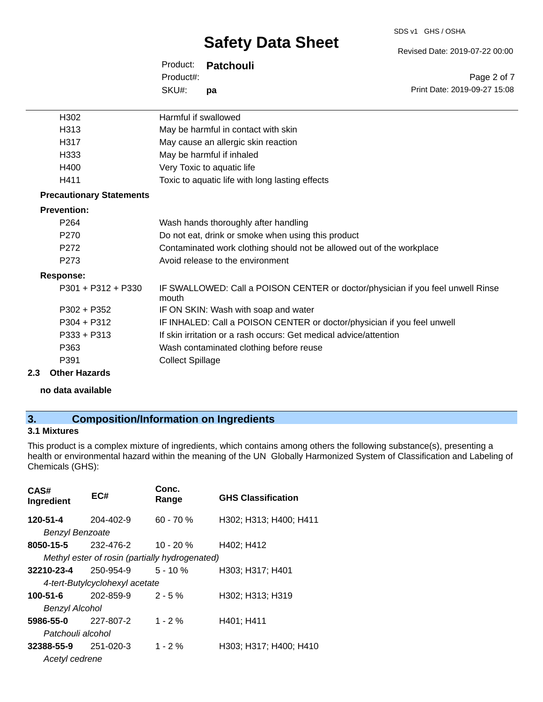SDS v1 GHS / OSHA

Revised Date: 2019-07-22 00:00

Print Date: 2019-09-27 15:08

Page 2 of 7

Product: **Patchouli**  SKU#: Product#: **pa**

| H302                            | Harmful if swallowed                                                                     |
|---------------------------------|------------------------------------------------------------------------------------------|
| H313                            | May be harmful in contact with skin                                                      |
| H317                            | May cause an allergic skin reaction                                                      |
| H333                            | May be harmful if inhaled                                                                |
| H400                            | Very Toxic to aquatic life                                                               |
| H411                            | Toxic to aquatic life with long lasting effects                                          |
| <b>Precautionary Statements</b> |                                                                                          |
| <b>Prevention:</b>              |                                                                                          |
| P <sub>264</sub>                | Wash hands thoroughly after handling                                                     |
| P <sub>270</sub>                | Do not eat, drink or smoke when using this product                                       |
| P <sub>272</sub>                | Contaminated work clothing should not be allowed out of the workplace                    |
| P <sub>273</sub>                | Avoid release to the environment                                                         |
| <b>Response:</b>                |                                                                                          |
| $P301 + P312 + P330$            | IF SWALLOWED: Call a POISON CENTER or doctor/physician if you feel unwell Rinse<br>mouth |
| P302 + P352                     | IF ON SKIN: Wash with soap and water                                                     |
| P304 + P312                     | IF INHALED: Call a POISON CENTER or doctor/physician if you feel unwell                  |
| $P333 + P313$                   | If skin irritation or a rash occurs: Get medical advice/attention                        |
| P363                            | Wash contaminated clothing before reuse                                                  |
| P391                            | <b>Collect Spillage</b>                                                                  |
|                                 |                                                                                          |

### **2.3 Other Hazards**

**no data available**

## **3. Composition/Information on Ingredients**

### **3.1 Mixtures**

This product is a complex mixture of ingredients, which contains among others the following substance(s), presenting a health or environmental hazard within the meaning of the UN Globally Harmonized System of Classification and Labeling of Chemicals (GHS):

| CAS#<br>Ingredient     | EC#                                            | Conc.<br>Range | <b>GHS Classification</b> |  |  |
|------------------------|------------------------------------------------|----------------|---------------------------|--|--|
| 120-51-4               | $204 - 402 - 9$                                | $60 - 70%$     | H302; H313; H400; H411    |  |  |
| <b>Benzyl Benzoate</b> |                                                |                |                           |  |  |
| 8050-15-5              | 232-476-2                                      | 10 - 20 %      | H402; H412                |  |  |
|                        | Methyl ester of rosin (partially hydrogenated) |                |                           |  |  |
| 32210-23-4             | 250-954-9                                      | $5 - 10 \%$    | H303; H317; H401          |  |  |
|                        | 4-tert-Butylcyclohexyl acetate                 |                |                           |  |  |
| 100-51-6               | 202-859-9                                      | $2 - 5%$       | H302; H313; H319          |  |  |
| <b>Benzyl Alcohol</b>  |                                                |                |                           |  |  |
| 5986-55-0              | 227-807-2                                      | $1 - 2 \%$     | H401; H411                |  |  |
| Patchouli alcohol      |                                                |                |                           |  |  |
| 32388-55-9             | 251-020-3                                      | $1 - 2 \%$     | H303; H317; H400; H410    |  |  |
| Acetyl cedrene         |                                                |                |                           |  |  |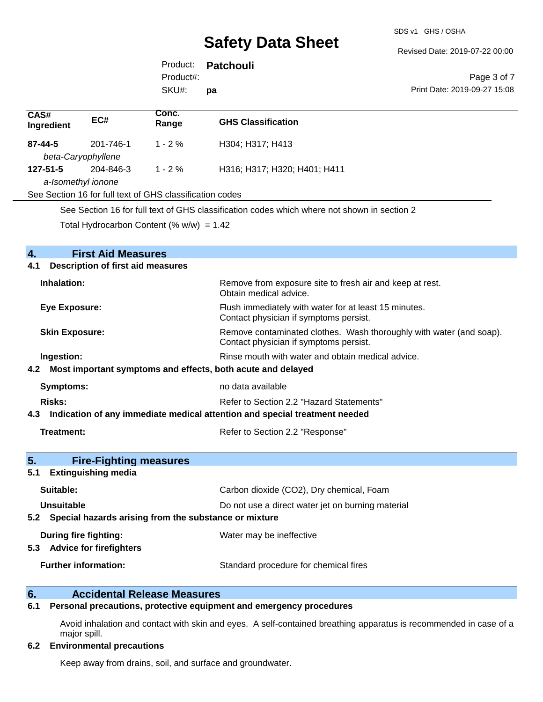SDS v1 GHS / OSHA

Revised Date: 2019-07-22 00:00

Product: **Patchouli**  SKU#: Product#: **pa**

Page 3 of 7 Print Date: 2019-09-27 15:08

| CAS#<br>Ingredient                                                             | EC#       | Conc.<br>Range | <b>GHS Classification</b>    |  |
|--------------------------------------------------------------------------------|-----------|----------------|------------------------------|--|
| $87 - 44 - 5$<br>beta-Caryophyllene                                            | 201-746-1 | $1 - 2 \%$     | H304; H317; H413             |  |
| $127 - 51 - 5$                                                                 | 204-846-3 | $1 - 2\%$      | H316; H317; H320; H401; H411 |  |
| a-Isomethyl ionone<br>See Section 16 for full text of GHS classification codes |           |                |                              |  |
|                                                                                |           |                |                              |  |

See Section 16 for full text of GHS classification codes which where not shown in section 2

Total Hydrocarbon Content (%  $w/w$ ) = 1.42

| $\overline{4}$ .<br><b>First Aid Measures</b><br><b>Description of first aid measures</b><br>4.1 |                                                                                                               |  |  |  |
|--------------------------------------------------------------------------------------------------|---------------------------------------------------------------------------------------------------------------|--|--|--|
| Inhalation:                                                                                      | Remove from exposure site to fresh air and keep at rest.<br>Obtain medical advice.                            |  |  |  |
| <b>Eye Exposure:</b>                                                                             | Flush immediately with water for at least 15 minutes.<br>Contact physician if symptoms persist.               |  |  |  |
| <b>Skin Exposure:</b>                                                                            | Remove contaminated clothes. Wash thoroughly with water (and soap).<br>Contact physician if symptoms persist. |  |  |  |
| Ingestion:                                                                                       | Rinse mouth with water and obtain medical advice.                                                             |  |  |  |
| 4.2 Most important symptoms and effects, both acute and delayed                                  |                                                                                                               |  |  |  |
| <b>Symptoms:</b>                                                                                 | no data available                                                                                             |  |  |  |
| Risks:                                                                                           | Refer to Section 2.2 "Hazard Statements"                                                                      |  |  |  |
| 4.3 Indication of any immediate medical attention and special treatment needed                   |                                                                                                               |  |  |  |
| <b>Treatment:</b>                                                                                | Refer to Section 2.2 "Response"                                                                               |  |  |  |
| 5.<br><b>Fire-Fighting measures</b>                                                              |                                                                                                               |  |  |  |
| <b>Extinguishing media</b><br>5.1                                                                |                                                                                                               |  |  |  |
| Suitable:                                                                                        | Carbon dioxide (CO2), Dry chemical, Foam                                                                      |  |  |  |
| Unsuitable                                                                                       | Do not use a direct water jet on burning material                                                             |  |  |  |
|                                                                                                  | 5.2 Special hazards arising from the substance or mixture                                                     |  |  |  |
| <b>During fire fighting:</b>                                                                     | Water may be ineffective                                                                                      |  |  |  |
| 5.3 Advice for firefighters                                                                      |                                                                                                               |  |  |  |
| <b>Further information:</b>                                                                      | Standard procedure for chemical fires                                                                         |  |  |  |
|                                                                                                  |                                                                                                               |  |  |  |

# **6. Calculate Accidental Release Measures**<br>**6.1** Personal precautions, protective equipm

### **6.1 Personal precautions, protective equipment and emergency procedures**

Avoid inhalation and contact with skin and eyes. A self-contained breathing apparatus is recommended in case of a major spill.

### **6.2 Environmental precautions**

Keep away from drains, soil, and surface and groundwater.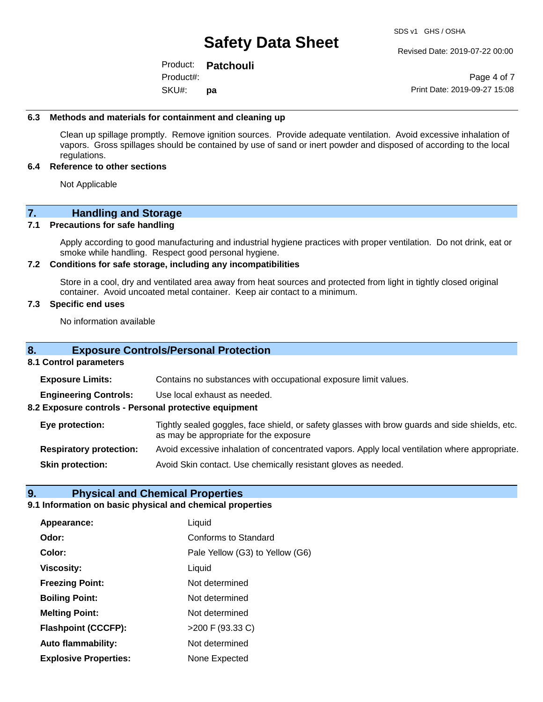Revised Date: 2019-07-22 00:00

Product: **Patchouli**  SKU#: Product#: **pa**

Page 4 of 7 Print Date: 2019-09-27 15:08

#### **6.3 Methods and materials for containment and cleaning up**

Clean up spillage promptly. Remove ignition sources. Provide adequate ventilation. Avoid excessive inhalation of vapors. Gross spillages should be contained by use of sand or inert powder and disposed of according to the local regulations.

#### **6.4 Reference to other sections**

Not Applicable

## **7. Handling and Storage**

#### **7.1 Precautions for safe handling**

Apply according to good manufacturing and industrial hygiene practices with proper ventilation. Do not drink, eat or smoke while handling. Respect good personal hygiene.

#### **7.2 Conditions for safe storage, including any incompatibilities**

Store in a cool, dry and ventilated area away from heat sources and protected from light in tightly closed original container. Avoid uncoated metal container. Keep air contact to a minimum.

#### **7.3 Specific end uses**

No information available

### **8. Exposure Controls/Personal Protection**

#### **8.1 Control parameters**

**Exposure Limits:** Contains no substances with occupational exposure limit values.

**Engineering Controls:** Use local exhaust as needed.

**8.2 Exposure controls - Personal protective equipment**

**Eye protection:** Tightly sealed goggles, face shield, or safety glasses with brow guards and side shields, etc. as may be appropriate for the exposure

**Respiratory protection:** Avoid excessive inhalation of concentrated vapors. Apply local ventilation where appropriate.

**Skin protection:** Avoid Skin contact. Use chemically resistant gloves as needed.

### **9. Physical and Chemical Properties**

#### **9.1 Information on basic physical and chemical properties**

| Appearance:                  | Liquid                          |
|------------------------------|---------------------------------|
| Odor:                        | <b>Conforms to Standard</b>     |
| Color:                       | Pale Yellow (G3) to Yellow (G6) |
| <b>Viscosity:</b>            | Liquid                          |
| <b>Freezing Point:</b>       | Not determined                  |
| <b>Boiling Point:</b>        | Not determined                  |
| <b>Melting Point:</b>        | Not determined                  |
| <b>Flashpoint (CCCFP):</b>   | >200 F (93.33 C)                |
| Auto flammability:           | Not determined                  |
| <b>Explosive Properties:</b> | None Expected                   |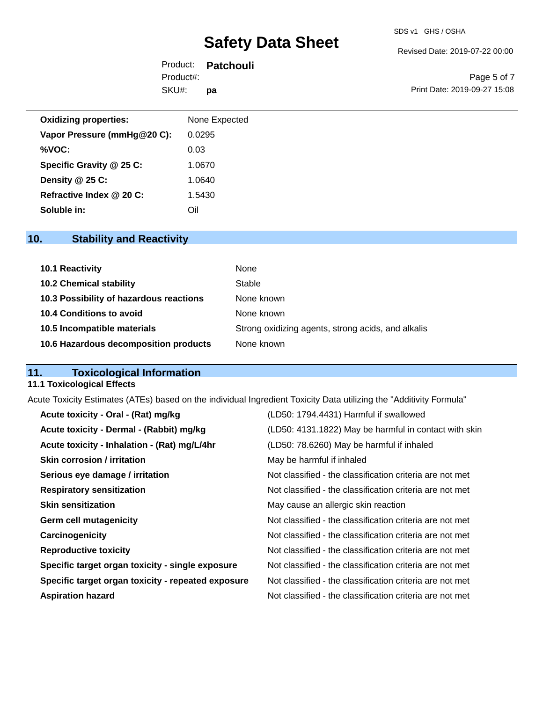Revised Date: 2019-07-22 00:00

Product: **Patchouli**  SKU#: Product#: **pa**

Page 5 of 7 Print Date: 2019-09-27 15:08

| <b>Oxidizing properties:</b> | None Expected |
|------------------------------|---------------|
| Vapor Pressure (mmHg@20 C):  | 0.0295        |
| %VOC:                        | 0.03          |
| Specific Gravity @ 25 C:     | 1.0670        |
| Density @ 25 C:              | 1.0640        |
| Refractive Index @ 20 C:     | 1.5430        |
| Soluble in:                  | Oil           |

## **10. Stability and Reactivity**

| 10.1 Reactivity                         | None                                               |
|-----------------------------------------|----------------------------------------------------|
| <b>10.2 Chemical stability</b>          | Stable                                             |
| 10.3 Possibility of hazardous reactions | None known                                         |
| <b>10.4 Conditions to avoid</b>         | None known                                         |
| 10.5 Incompatible materials             | Strong oxidizing agents, strong acids, and alkalis |
| 10.6 Hazardous decomposition products   | None known                                         |

## **11. Toxicological Information**

### **11.1 Toxicological Effects**

Acute Toxicity Estimates (ATEs) based on the individual Ingredient Toxicity Data utilizing the "Additivity Formula"

| Acute toxicity - Oral - (Rat) mg/kg                | (LD50: 1794.4431) Harmful if swallowed                   |
|----------------------------------------------------|----------------------------------------------------------|
| Acute toxicity - Dermal - (Rabbit) mg/kg           | (LD50: 4131.1822) May be harmful in contact with skin    |
| Acute toxicity - Inhalation - (Rat) mg/L/4hr       | (LD50: 78.6260) May be harmful if inhaled                |
| <b>Skin corrosion / irritation</b>                 | May be harmful if inhaled                                |
| Serious eye damage / irritation                    | Not classified - the classification criteria are not met |
| <b>Respiratory sensitization</b>                   | Not classified - the classification criteria are not met |
| <b>Skin sensitization</b>                          | May cause an allergic skin reaction                      |
| <b>Germ cell mutagenicity</b>                      | Not classified - the classification criteria are not met |
| Carcinogenicity                                    | Not classified - the classification criteria are not met |
| <b>Reproductive toxicity</b>                       | Not classified - the classification criteria are not met |
| Specific target organ toxicity - single exposure   | Not classified - the classification criteria are not met |
| Specific target organ toxicity - repeated exposure | Not classified - the classification criteria are not met |
| <b>Aspiration hazard</b>                           | Not classified - the classification criteria are not met |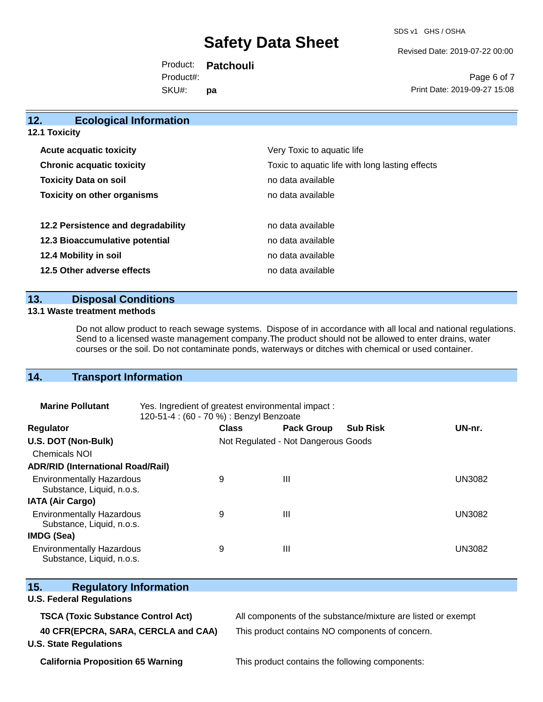SDS v1 GHS / OSHA

Revised Date: 2019-07-22 00:00

Product: **Patchouli**  SKU#: Product#: **pa**

Page 6 of 7 Print Date: 2019-09-27 15:08

| 12.                              | <b>Ecological Information</b>      |                                                 |
|----------------------------------|------------------------------------|-------------------------------------------------|
| <b>12.1 Toxicity</b>             |                                    |                                                 |
| <b>Acute acquatic toxicity</b>   |                                    | Very Toxic to aquatic life                      |
| <b>Chronic acquatic toxicity</b> |                                    | Toxic to aquatic life with long lasting effects |
| <b>Toxicity Data on soil</b>     |                                    | no data available                               |
|                                  | <b>Toxicity on other organisms</b> | no data available                               |
|                                  | 12.2 Persistence and degradability | no data available                               |
|                                  | 12.3 Bioaccumulative potential     | no data available                               |
|                                  | 12.4 Mobility in soil              | no data available                               |
|                                  | 12.5 Other adverse effects         | no data available                               |
|                                  |                                    |                                                 |

## **13. Disposal Conditions**

#### **13.1 Waste treatment methods**

Do not allow product to reach sewage systems. Dispose of in accordance with all local and national regulations. Send to a licensed waste management company.The product should not be allowed to enter drains, water courses or the soil. Do not contaminate ponds, waterways or ditches with chemical or used container.

## **14. Transport Information**

| <b>Marine Pollutant</b>                                       | Yes. Ingredient of greatest environmental impact:<br>120-51-4 : (60 - 70 %) : Benzyl Benzoate |                                     |                   |                 |               |
|---------------------------------------------------------------|-----------------------------------------------------------------------------------------------|-------------------------------------|-------------------|-----------------|---------------|
| <b>Regulator</b>                                              |                                                                                               | <b>Class</b>                        | <b>Pack Group</b> | <b>Sub Risk</b> | UN-nr.        |
| U.S. DOT (Non-Bulk)                                           |                                                                                               | Not Regulated - Not Dangerous Goods |                   |                 |               |
| Chemicals NOI                                                 |                                                                                               |                                     |                   |                 |               |
| <b>ADR/RID (International Road/Rail)</b>                      |                                                                                               |                                     |                   |                 |               |
| <b>Environmentally Hazardous</b><br>Substance, Liquid, n.o.s. |                                                                                               | 9                                   | Ш                 |                 | <b>UN3082</b> |
| <b>IATA (Air Cargo)</b>                                       |                                                                                               |                                     |                   |                 |               |
| <b>Environmentally Hazardous</b><br>Substance, Liquid, n.o.s. |                                                                                               | 9                                   | Ш                 |                 | <b>UN3082</b> |
| IMDG (Sea)                                                    |                                                                                               |                                     |                   |                 |               |
| <b>Environmentally Hazardous</b><br>Substance, Liquid, n.o.s. |                                                                                               | 9                                   | Ш                 |                 | UN3082        |

| OuboldHut, Liyulu, H.O.S.                                            |                                                              |
|----------------------------------------------------------------------|--------------------------------------------------------------|
| 15.<br><b>Regulatory Information</b>                                 |                                                              |
| <b>U.S. Federal Regulations</b>                                      |                                                              |
| <b>TSCA (Toxic Substance Control Act)</b>                            | All components of the substance/mixture are listed or exempt |
| 40 CFR(EPCRA, SARA, CERCLA and CAA)<br><b>U.S. State Regulations</b> | This product contains NO components of concern.              |

**California Proposition 65 Warning** This product contains the following components: